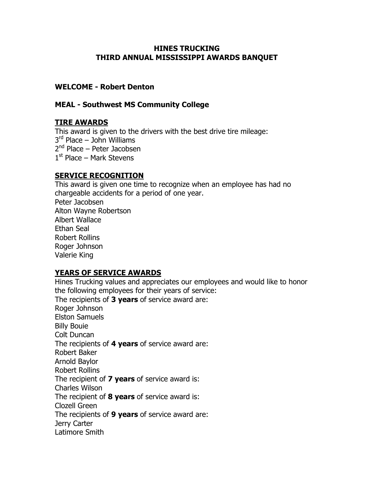#### HINES TRUCKING THIRD ANNUAL MISSISSIPPI AWARDS BANQUET

### WELCOME - Robert Denton

### MEAL - Southwest MS Community College

# TIRE AWARDS

This award is given to the drivers with the best drive tire mileage: 3 rd Place – John Williams 2<sup>nd</sup> Place – Peter Jacobsen 1<sup>st</sup> Place – Mark Stevens

### SERVICE RECOGNITION

This award is given one time to recognize when an employee has had no chargeable accidents for a period of one year. Peter Jacobsen Alton Wayne Robertson Albert Wallace Ethan Seal Robert Rollins Roger Johnson Valerie King

# YEARS OF SERVICE AWARDS

Hines Trucking values and appreciates our employees and would like to honor the following employees for their years of service: The recipients of 3 years of service award are: Roger Johnson Elston Samuels Billy Bouie Colt Duncan The recipients of 4 years of service award are: Robert Baker Arnold Baylor Robert Rollins The recipient of 7 years of service award is: Charles Wilson The recipient of  $8$  years of service award is: Clozell Green The recipients of 9 years of service award are: Jerry Carter Latimore Smith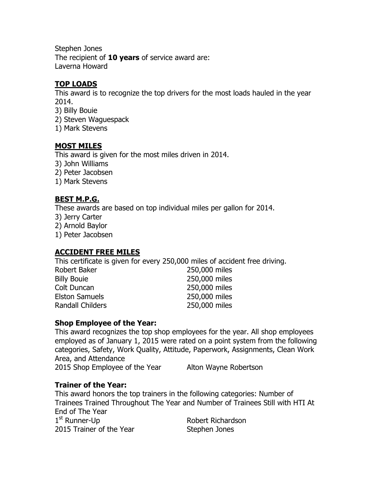Stephen Jones The recipient of  $10$  years of service award are: Laverna Howard

### TOP LOADS

This award is to recognize the top drivers for the most loads hauled in the year 2014.

- 3) Billy Bouie
- 2) Steven Waguespack
- 1) Mark Stevens

### MOST MILES

This award is given for the most miles driven in 2014.

- 3) John Williams
- 2) Peter Jacobsen
- 1) Mark Stevens

### BEST M.P.G.

These awards are based on top individual miles per gallon for 2014.

- 3) Jerry Carter
- 2) Arnold Baylor
- 1) Peter Jacobsen

# ACCIDENT FREE MILES

This certificate is given for every 250,000 miles of accident free driving.

| 250,000 miles |
|---------------|
| 250,000 miles |
| 250,000 miles |
| 250,000 miles |
| 250,000 miles |
|               |

#### Shop Employee of the Year:

This award recognizes the top shop employees for the year. All shop employees employed as of January 1, 2015 were rated on a point system from the following categories, Safety, Work Quality, Attitude, Paperwork, Assignments, Clean Work Area, and Attendance 2015 Shop Employee of the Year Alton Wayne Robertson

# Trainer of the Year:

This award honors the top trainers in the following categories: Number of Trainees Trained Throughout The Year and Number of Trainees Still with HTI At End of The Year  $1<sup>st</sup>$  Runner-Up Robert Richardson 2015 Trainer of the Year Stephen Jones